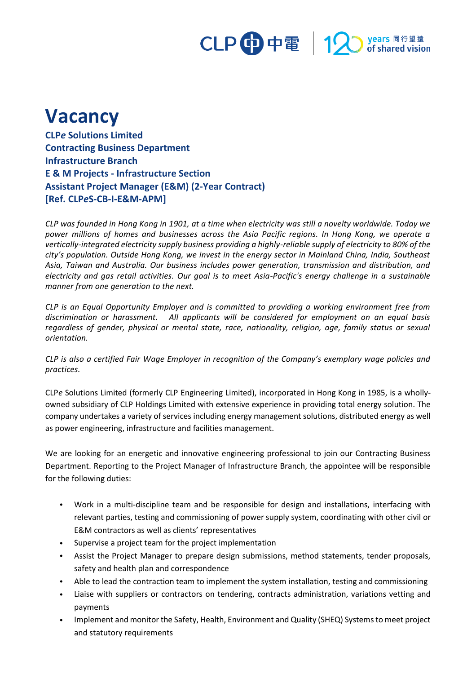# CLP 中電 12 stared vision

## **Vacancy**

**CLP***e* **Solutions Limited Contracting Business Department Infrastructure Branch E & M Projects - Infrastructure Section Assistant Project Manager (E&M) (2-Year Contract) [Ref. CLP***e***S-CB-I-E&M-APM]**

*CLP was founded in Hong Kong in 1901, at a time when electricity was still a novelty worldwide. Today we power millions of homes and businesses across the Asia Pacific regions. In Hong Kong, we operate a vertically-integrated electricity supply business providing a highly-reliable supply of electricity to 80% of the city's population. Outside Hong Kong, we invest in the energy sector in Mainland China, India, Southeast Asia, Taiwan and Australia. Our business includes power generation, transmission and distribution, and electricity and gas retail activities. Our goal is to meet Asia-Pacific's energy challenge in a sustainable manner from one generation to the next.*

*CLP is an Equal Opportunity Employer and is committed to providing a working environment free from discrimination or harassment. All applicants will be considered for employment on an equal basis regardless of gender, physical or mental state, race, nationality, religion, age, family status or sexual orientation.*

*CLP is also a certified Fair Wage Employer in recognition of the Company's exemplary wage policies and practices.*

CLP*e* Solutions Limited (formerly CLP Engineering Limited), incorporated in Hong Kong in 1985, is a whollyowned subsidiary of CLP Holdings Limited with extensive experience in providing total energy solution. The company undertakes a variety of services including energy management solutions, distributed energy as well as power engineering, infrastructure and facilities management.

We are looking for an energetic and innovative engineering professional to join our Contracting Business Department. Reporting to the Project Manager of Infrastructure Branch, the appointee will be responsible for the following duties:

- Work in a multi-discipline team and be responsible for design and installations, interfacing with relevant parties, testing and commissioning of power supply system, coordinating with other civil or E&M contractors as well as clients' representatives
- Supervise a project team for the project implementation
- Assist the Project Manager to prepare design submissions, method statements, tender proposals, safety and health plan and correspondence
- Able to lead the contraction team to implement the system installation, testing and commissioning
- Liaise with suppliers or contractors on tendering, contracts administration, variations vetting and payments
- Implement and monitor the Safety, Health, Environment and Quality (SHEQ) Systems to meet project and statutory requirements